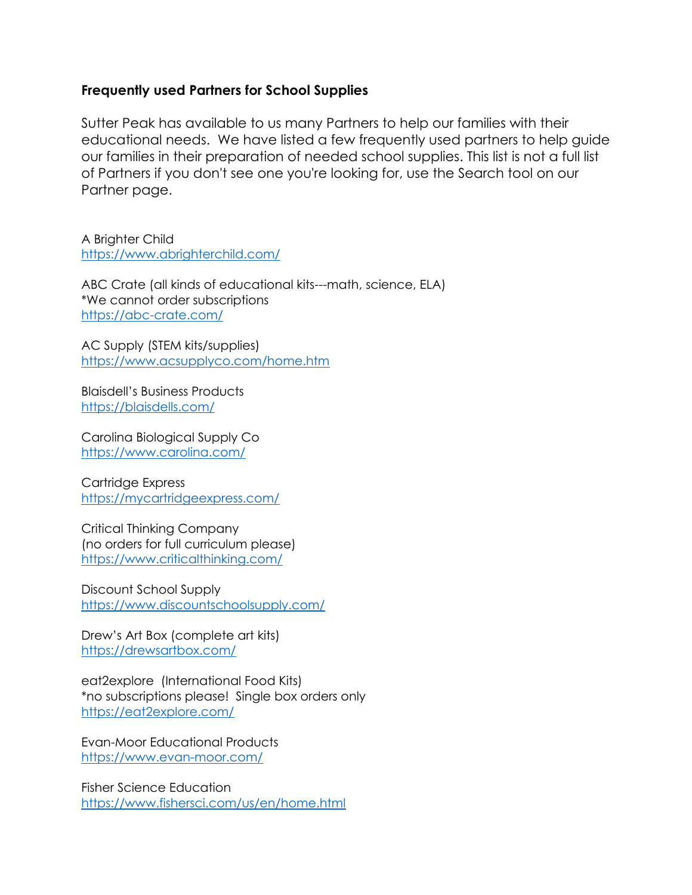## **Frequently used Partners for School Supplies**

Sutter Peak has available to us many Partners to help our families with their educational needs. We have listed a few frequently used partners to help guide our families in their preparation of needed school supplies. This list is not a full list of Partners if you don't see one you're looking for, use the Search tool on our Partner page.

A Brighter Child <https://www.abrighterchild.com/>

ABC Crate (all kinds of educational kits---math, science, ELA) \*We cannot order subscriptions <https://abc-crate.com/>

AC Supply (STEM kits/supplies) <https://www.acsupplyco.com/home.htm>

Blaisdell's Business Products <https://blaisdells.com/>

Carolina Biological Supply Co <https://www.carolina.com/>

Cartridge Express <https://mycartridgeexpress.com/>

Critical Thinking Company (no orders for full curriculum please) <https://www.criticalthinking.com/>

Discount School Supply <https://www.discountschoolsupply.com/>

Drew's Art Box (complete art kits) <https://drewsartbox.com/>

eat2explore (International Food Kits) \*no subscriptions please! Single box orders only <https://eat2explore.com/>

Evan-Moor Educational Products <https://www.evan-moor.com/>

Fisher Science Education <https://www.fishersci.com/us/en/home.html>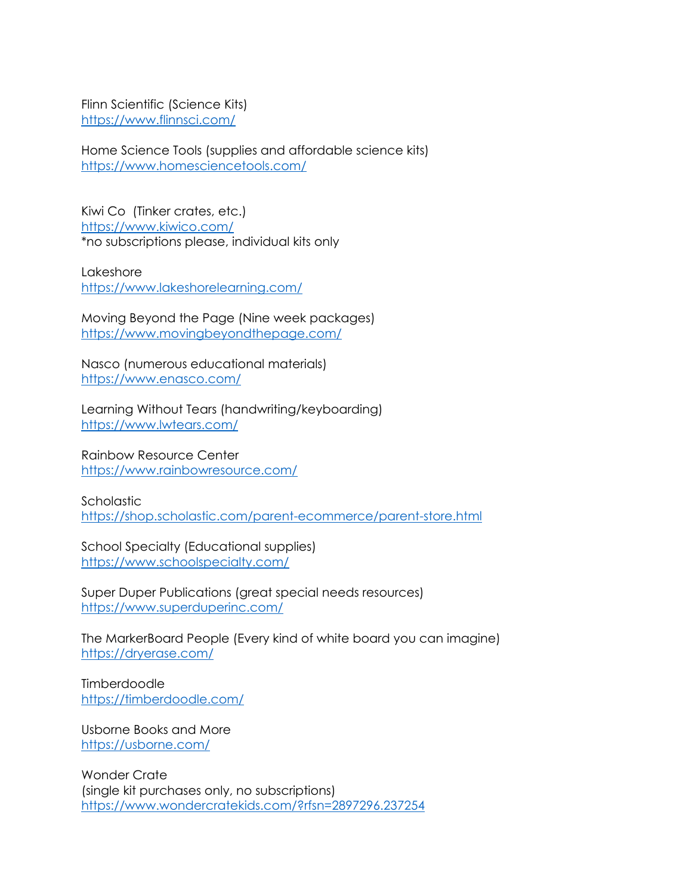Flinn Scientific (Science Kits) <https://www.flinnsci.com/>

Home Science Tools (supplies and affordable science kits) <https://www.homesciencetools.com/>

Kiwi Co (Tinker crates, etc.) <https://www.kiwico.com/> \*no subscriptions please, individual kits only

Lakeshore <https://www.lakeshorelearning.com/>

Moving Beyond the Page (Nine week packages) <https://www.movingbeyondthepage.com/>

Nasco (numerous educational materials) <https://www.enasco.com/>

Learning Without Tears (handwriting/keyboarding) <https://www.lwtears.com/>

Rainbow Resource Center <https://www.rainbowresource.com/>

**Scholastic** <https://shop.scholastic.com/parent-ecommerce/parent-store.html>

School Specialty (Educational supplies) <https://www.schoolspecialty.com/>

Super Duper Publications (great special needs resources) <https://www.superduperinc.com/>

The MarkerBoard People (Every kind of white board you can imagine) <https://dryerase.com/>

**Timberdoodle** <https://timberdoodle.com/>

Usborne Books and More <https://usborne.com/>

Wonder Crate (single kit purchases only, no subscriptions) <https://www.wondercratekids.com/?rfsn=2897296.237254>